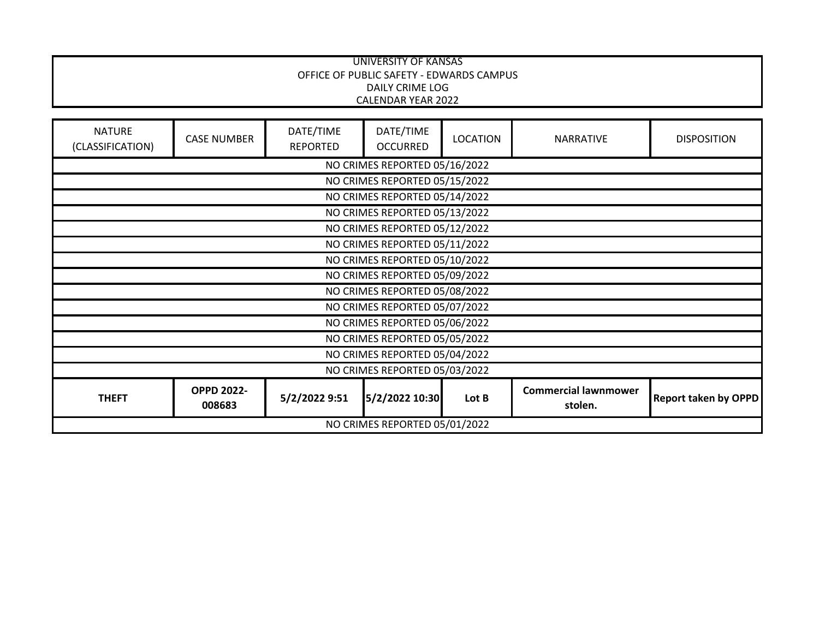|                                   |                               |                              | <b>UNIVERSITY OF KANSAS</b><br>OFFICE OF PUBLIC SAFETY - EDWARDS CAMPUS |                 |                                        |                             |
|-----------------------------------|-------------------------------|------------------------------|-------------------------------------------------------------------------|-----------------|----------------------------------------|-----------------------------|
|                                   |                               |                              | <b>DAILY CRIME LOG</b><br><b>CALENDAR YEAR 2022</b>                     |                 |                                        |                             |
| <b>NATURE</b><br>(CLASSIFICATION) | <b>CASE NUMBER</b>            | DATE/TIME<br><b>REPORTED</b> | DATE/TIME<br><b>OCCURRED</b>                                            | <b>LOCATION</b> | <b>NARRATIVE</b>                       | <b>DISPOSITION</b>          |
|                                   |                               |                              | NO CRIMES REPORTED 05/16/2022                                           |                 |                                        |                             |
|                                   |                               |                              | NO CRIMES REPORTED 05/15/2022                                           |                 |                                        |                             |
|                                   |                               |                              | NO CRIMES REPORTED 05/14/2022                                           |                 |                                        |                             |
|                                   | NO CRIMES REPORTED 05/13/2022 |                              |                                                                         |                 |                                        |                             |
|                                   |                               |                              | NO CRIMES REPORTED 05/12/2022                                           |                 |                                        |                             |
|                                   | NO CRIMES REPORTED 05/11/2022 |                              |                                                                         |                 |                                        |                             |
|                                   | NO CRIMES REPORTED 05/10/2022 |                              |                                                                         |                 |                                        |                             |
|                                   | NO CRIMES REPORTED 05/09/2022 |                              |                                                                         |                 |                                        |                             |
|                                   | NO CRIMES REPORTED 05/08/2022 |                              |                                                                         |                 |                                        |                             |
|                                   |                               |                              | NO CRIMES REPORTED 05/07/2022                                           |                 |                                        |                             |
|                                   |                               |                              | NO CRIMES REPORTED 05/06/2022                                           |                 |                                        |                             |
|                                   |                               |                              | NO CRIMES REPORTED 05/05/2022                                           |                 |                                        |                             |
|                                   |                               |                              | NO CRIMES REPORTED 05/04/2022                                           |                 |                                        |                             |
|                                   |                               |                              | NO CRIMES REPORTED 05/03/2022                                           |                 |                                        |                             |
| <b>THEFT</b>                      | <b>OPPD 2022-</b><br>008683   | 5/2/2022 9:51                | 5/2/2022 10:30                                                          | Lot B           | <b>Commercial lawnmower</b><br>stolen. | <b>Report taken by OPPD</b> |
|                                   |                               |                              | NO CRIMES REPORTED 05/01/2022                                           |                 |                                        |                             |

٦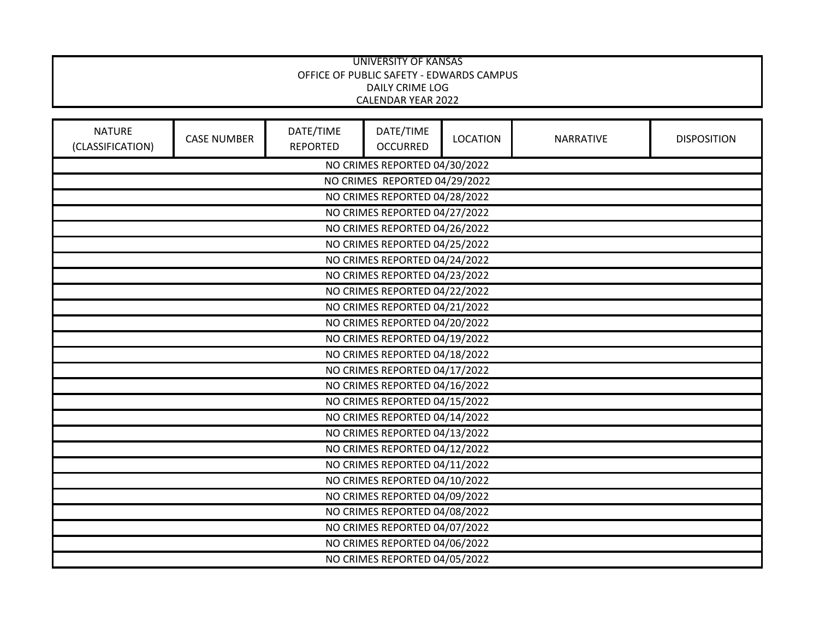|                                                                |                                                                                                                                                 |  | <b>UNIVERSITY OF KANSAS</b><br>OFFICE OF PUBLIC SAFETY - EDWARDS CAMPUS<br><b>DAILY CRIME LOG</b><br><b>CALENDAR YEAR 2022</b> |  |  |  |  |
|----------------------------------------------------------------|-------------------------------------------------------------------------------------------------------------------------------------------------|--|--------------------------------------------------------------------------------------------------------------------------------|--|--|--|--|
| <b>NATURE</b><br>(CLASSIFICATION)                              | DATE/TIME<br>DATE/TIME<br><b>CASE NUMBER</b><br><b>LOCATION</b><br><b>NARRATIVE</b><br><b>DISPOSITION</b><br><b>REPORTED</b><br><b>OCCURRED</b> |  |                                                                                                                                |  |  |  |  |
|                                                                |                                                                                                                                                 |  | NO CRIMES REPORTED 04/30/2022                                                                                                  |  |  |  |  |
|                                                                |                                                                                                                                                 |  | NO CRIMES REPORTED 04/29/2022                                                                                                  |  |  |  |  |
|                                                                |                                                                                                                                                 |  | NO CRIMES REPORTED 04/28/2022                                                                                                  |  |  |  |  |
|                                                                |                                                                                                                                                 |  | NO CRIMES REPORTED 04/27/2022                                                                                                  |  |  |  |  |
|                                                                |                                                                                                                                                 |  | NO CRIMES REPORTED 04/26/2022                                                                                                  |  |  |  |  |
|                                                                |                                                                                                                                                 |  | NO CRIMES REPORTED 04/25/2022                                                                                                  |  |  |  |  |
|                                                                |                                                                                                                                                 |  | NO CRIMES REPORTED 04/24/2022                                                                                                  |  |  |  |  |
|                                                                |                                                                                                                                                 |  | NO CRIMES REPORTED 04/23/2022                                                                                                  |  |  |  |  |
|                                                                | NO CRIMES REPORTED 04/22/2022                                                                                                                   |  |                                                                                                                                |  |  |  |  |
| NO CRIMES REPORTED 04/21/2022<br>NO CRIMES REPORTED 04/20/2022 |                                                                                                                                                 |  |                                                                                                                                |  |  |  |  |
| NO CRIMES REPORTED 04/19/2022                                  |                                                                                                                                                 |  |                                                                                                                                |  |  |  |  |
|                                                                |                                                                                                                                                 |  | NO CRIMES REPORTED 04/18/2022                                                                                                  |  |  |  |  |
| NO CRIMES REPORTED 04/17/2022                                  |                                                                                                                                                 |  |                                                                                                                                |  |  |  |  |
|                                                                | NO CRIMES REPORTED 04/16/2022                                                                                                                   |  |                                                                                                                                |  |  |  |  |
|                                                                |                                                                                                                                                 |  | NO CRIMES REPORTED 04/15/2022                                                                                                  |  |  |  |  |
|                                                                |                                                                                                                                                 |  | NO CRIMES REPORTED 04/14/2022                                                                                                  |  |  |  |  |
|                                                                | NO CRIMES REPORTED 04/13/2022                                                                                                                   |  |                                                                                                                                |  |  |  |  |
|                                                                | NO CRIMES REPORTED 04/12/2022                                                                                                                   |  |                                                                                                                                |  |  |  |  |
|                                                                | NO CRIMES REPORTED 04/11/2022                                                                                                                   |  |                                                                                                                                |  |  |  |  |
|                                                                | NO CRIMES REPORTED 04/10/2022                                                                                                                   |  |                                                                                                                                |  |  |  |  |
|                                                                |                                                                                                                                                 |  | NO CRIMES REPORTED 04/09/2022                                                                                                  |  |  |  |  |
|                                                                |                                                                                                                                                 |  | NO CRIMES REPORTED 04/08/2022                                                                                                  |  |  |  |  |
|                                                                |                                                                                                                                                 |  | NO CRIMES REPORTED 04/07/2022                                                                                                  |  |  |  |  |
|                                                                |                                                                                                                                                 |  | NO CRIMES REPORTED 04/06/2022                                                                                                  |  |  |  |  |
|                                                                | NO CRIMES REPORTED 04/05/2022                                                                                                                   |  |                                                                                                                                |  |  |  |  |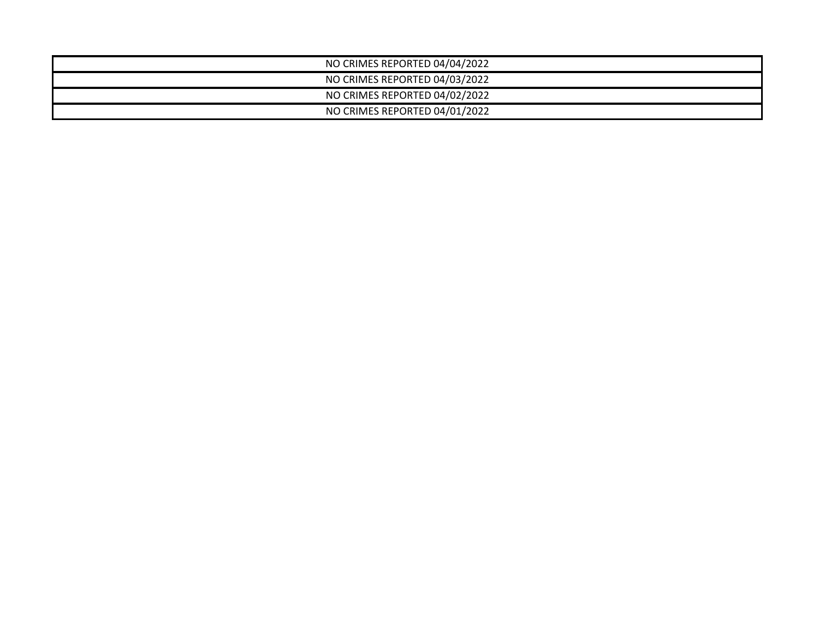| NO CRIMES REPORTED 04/04/2022 |  |
|-------------------------------|--|
| NO CRIMES REPORTED 04/03/2022 |  |
| NO CRIMES REPORTED 04/02/2022 |  |
| NO CRIMES REPORTED 04/01/2022 |  |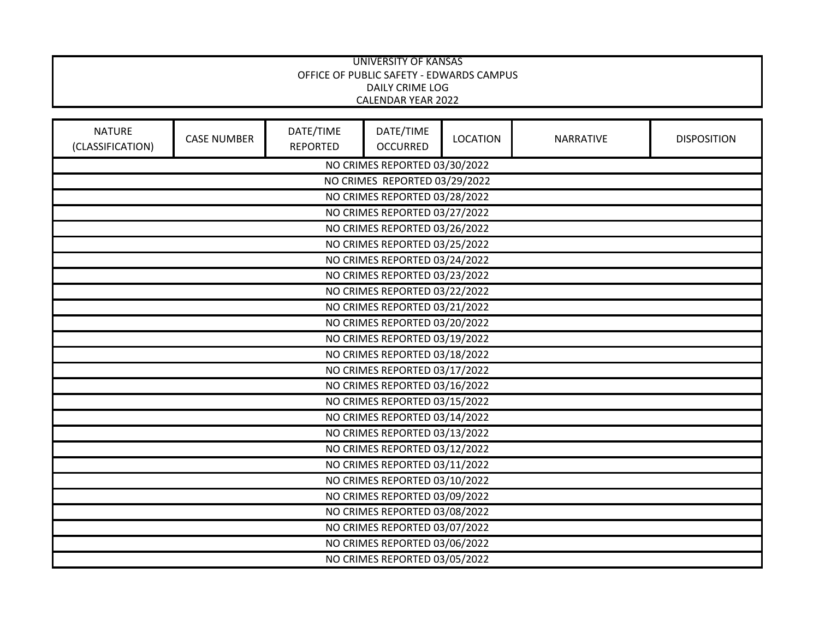|                                   |                                                                |                              | <b>UNIVERSITY OF KANSAS</b><br>OFFICE OF PUBLIC SAFETY - EDWARDS CAMPUS<br><b>DAILY CRIME LOG</b><br>CALENDAR YEAR 2022 |                 |                  |                    |  |
|-----------------------------------|----------------------------------------------------------------|------------------------------|-------------------------------------------------------------------------------------------------------------------------|-----------------|------------------|--------------------|--|
| <b>NATURE</b><br>(CLASSIFICATION) | <b>CASE NUMBER</b>                                             | DATE/TIME<br><b>REPORTED</b> | DATE/TIME<br><b>OCCURRED</b>                                                                                            | <b>LOCATION</b> | <b>NARRATIVE</b> | <b>DISPOSITION</b> |  |
|                                   |                                                                |                              | NO CRIMES REPORTED 03/30/2022                                                                                           |                 |                  |                    |  |
|                                   |                                                                |                              | NO CRIMES REPORTED 03/29/2022                                                                                           |                 |                  |                    |  |
|                                   |                                                                |                              | NO CRIMES REPORTED 03/28/2022                                                                                           |                 |                  |                    |  |
|                                   |                                                                |                              | NO CRIMES REPORTED 03/27/2022                                                                                           |                 |                  |                    |  |
|                                   |                                                                |                              | NO CRIMES REPORTED 03/26/2022                                                                                           |                 |                  |                    |  |
|                                   |                                                                |                              | NO CRIMES REPORTED 03/25/2022                                                                                           |                 |                  |                    |  |
|                                   | NO CRIMES REPORTED 03/24/2022                                  |                              |                                                                                                                         |                 |                  |                    |  |
| NO CRIMES REPORTED 03/23/2022     |                                                                |                              |                                                                                                                         |                 |                  |                    |  |
| NO CRIMES REPORTED 03/22/2022     |                                                                |                              |                                                                                                                         |                 |                  |                    |  |
| NO CRIMES REPORTED 03/21/2022     |                                                                |                              |                                                                                                                         |                 |                  |                    |  |
| NO CRIMES REPORTED 03/20/2022     |                                                                |                              |                                                                                                                         |                 |                  |                    |  |
| NO CRIMES REPORTED 03/19/2022     |                                                                |                              |                                                                                                                         |                 |                  |                    |  |
| NO CRIMES REPORTED 03/18/2022     |                                                                |                              |                                                                                                                         |                 |                  |                    |  |
|                                   | NO CRIMES REPORTED 03/17/2022                                  |                              |                                                                                                                         |                 |                  |                    |  |
|                                   | NO CRIMES REPORTED 03/16/2022<br>NO CRIMES REPORTED 03/15/2022 |                              |                                                                                                                         |                 |                  |                    |  |
|                                   | NO CRIMES REPORTED 03/14/2022                                  |                              |                                                                                                                         |                 |                  |                    |  |
|                                   | NO CRIMES REPORTED 03/13/2022                                  |                              |                                                                                                                         |                 |                  |                    |  |
|                                   | NO CRIMES REPORTED 03/12/2022                                  |                              |                                                                                                                         |                 |                  |                    |  |
|                                   | NO CRIMES REPORTED 03/11/2022                                  |                              |                                                                                                                         |                 |                  |                    |  |
|                                   | NO CRIMES REPORTED 03/10/2022                                  |                              |                                                                                                                         |                 |                  |                    |  |
|                                   | NO CRIMES REPORTED 03/09/2022                                  |                              |                                                                                                                         |                 |                  |                    |  |
|                                   | NO CRIMES REPORTED 03/08/2022                                  |                              |                                                                                                                         |                 |                  |                    |  |
|                                   |                                                                |                              | NO CRIMES REPORTED 03/07/2022                                                                                           |                 |                  |                    |  |
|                                   |                                                                |                              | NO CRIMES REPORTED 03/06/2022                                                                                           |                 |                  |                    |  |
|                                   | NO CRIMES REPORTED 03/05/2022                                  |                              |                                                                                                                         |                 |                  |                    |  |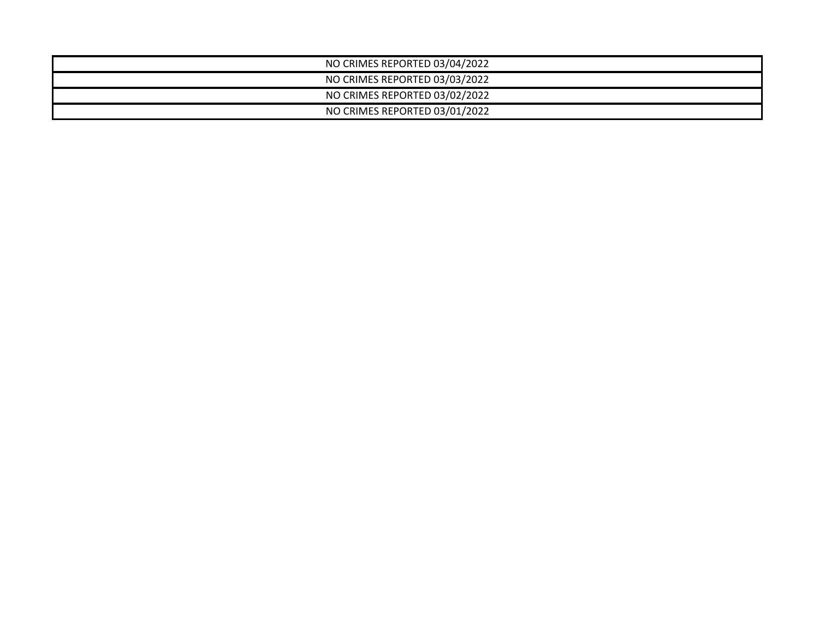| NO CRIMES REPORTED 03/04/2022 |  |
|-------------------------------|--|
| NO CRIMES REPORTED 03/03/2022 |  |
| NO CRIMES REPORTED 03/02/2022 |  |
| NO CRIMES REPORTED 03/01/2022 |  |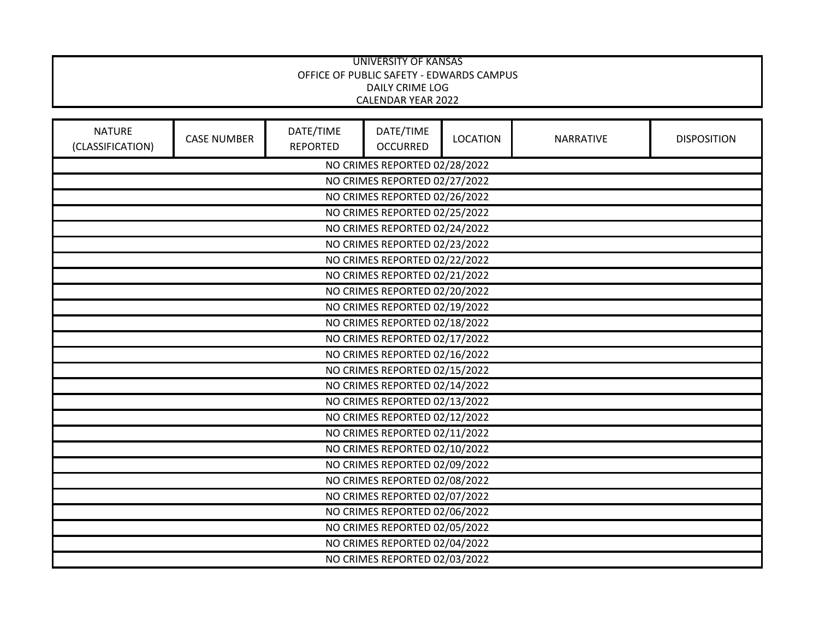|                                   |                               |                              | <b>UNIVERSITY OF KANSAS</b><br>OFFICE OF PUBLIC SAFETY - EDWARDS CAMPUS<br><b>DAILY CRIME LOG</b><br>CALENDAR YEAR 2022 |                 |                  |                    |  |
|-----------------------------------|-------------------------------|------------------------------|-------------------------------------------------------------------------------------------------------------------------|-----------------|------------------|--------------------|--|
| <b>NATURE</b><br>(CLASSIFICATION) | <b>CASE NUMBER</b>            | DATE/TIME<br><b>REPORTED</b> | DATE/TIME<br><b>OCCURRED</b>                                                                                            | <b>LOCATION</b> | <b>NARRATIVE</b> | <b>DISPOSITION</b> |  |
|                                   |                               |                              | NO CRIMES REPORTED 02/28/2022                                                                                           |                 |                  |                    |  |
|                                   |                               |                              | NO CRIMES REPORTED 02/27/2022                                                                                           |                 |                  |                    |  |
|                                   |                               |                              | NO CRIMES REPORTED 02/26/2022                                                                                           |                 |                  |                    |  |
|                                   |                               |                              | NO CRIMES REPORTED 02/25/2022                                                                                           |                 |                  |                    |  |
|                                   |                               |                              | NO CRIMES REPORTED 02/24/2022                                                                                           |                 |                  |                    |  |
|                                   |                               |                              | NO CRIMES REPORTED 02/23/2022                                                                                           |                 |                  |                    |  |
|                                   | NO CRIMES REPORTED 02/22/2022 |                              |                                                                                                                         |                 |                  |                    |  |
|                                   | NO CRIMES REPORTED 02/21/2022 |                              |                                                                                                                         |                 |                  |                    |  |
|                                   | NO CRIMES REPORTED 02/20/2022 |                              |                                                                                                                         |                 |                  |                    |  |
| NO CRIMES REPORTED 02/19/2022     |                               |                              |                                                                                                                         |                 |                  |                    |  |
| NO CRIMES REPORTED 02/18/2022     |                               |                              |                                                                                                                         |                 |                  |                    |  |
| NO CRIMES REPORTED 02/17/2022     |                               |                              |                                                                                                                         |                 |                  |                    |  |
| NO CRIMES REPORTED 02/16/2022     |                               |                              |                                                                                                                         |                 |                  |                    |  |
|                                   | NO CRIMES REPORTED 02/15/2022 |                              |                                                                                                                         |                 |                  |                    |  |
|                                   | NO CRIMES REPORTED 02/14/2022 |                              |                                                                                                                         |                 |                  |                    |  |
|                                   |                               |                              | NO CRIMES REPORTED 02/13/2022                                                                                           |                 |                  |                    |  |
|                                   | NO CRIMES REPORTED 02/12/2022 |                              |                                                                                                                         |                 |                  |                    |  |
|                                   | NO CRIMES REPORTED 02/11/2022 |                              |                                                                                                                         |                 |                  |                    |  |
|                                   | NO CRIMES REPORTED 02/10/2022 |                              |                                                                                                                         |                 |                  |                    |  |
|                                   | NO CRIMES REPORTED 02/09/2022 |                              |                                                                                                                         |                 |                  |                    |  |
|                                   | NO CRIMES REPORTED 02/08/2022 |                              |                                                                                                                         |                 |                  |                    |  |
|                                   |                               |                              | NO CRIMES REPORTED 02/07/2022                                                                                           |                 |                  |                    |  |
|                                   |                               |                              | NO CRIMES REPORTED 02/06/2022                                                                                           |                 |                  |                    |  |
|                                   |                               |                              | NO CRIMES REPORTED 02/05/2022                                                                                           |                 |                  |                    |  |
|                                   |                               |                              | NO CRIMES REPORTED 02/04/2022                                                                                           |                 |                  |                    |  |
| NO CRIMES REPORTED 02/03/2022     |                               |                              |                                                                                                                         |                 |                  |                    |  |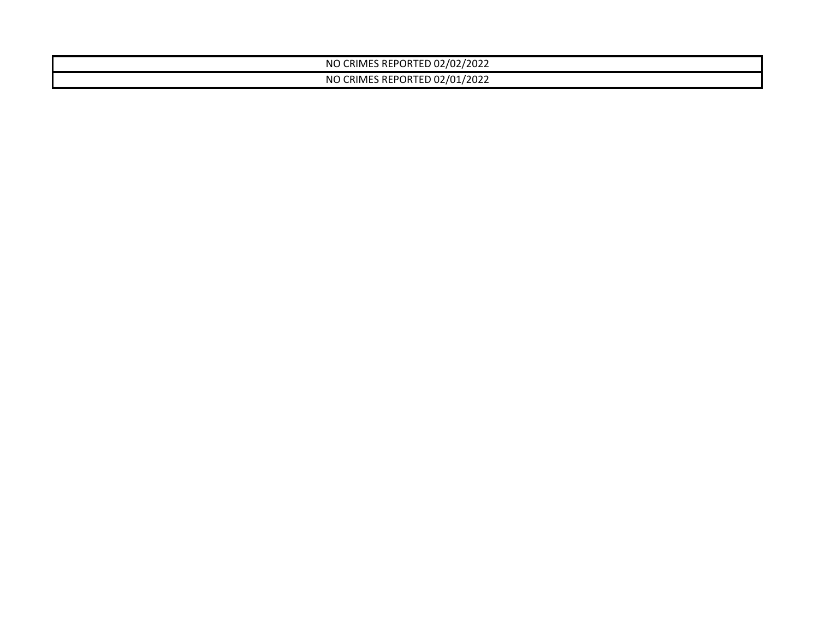| CRIMES REPORTED 02/02/2022<br>NC |  |
|----------------------------------|--|
| CRIMES REPORTED 02/01/2022<br>ΝC |  |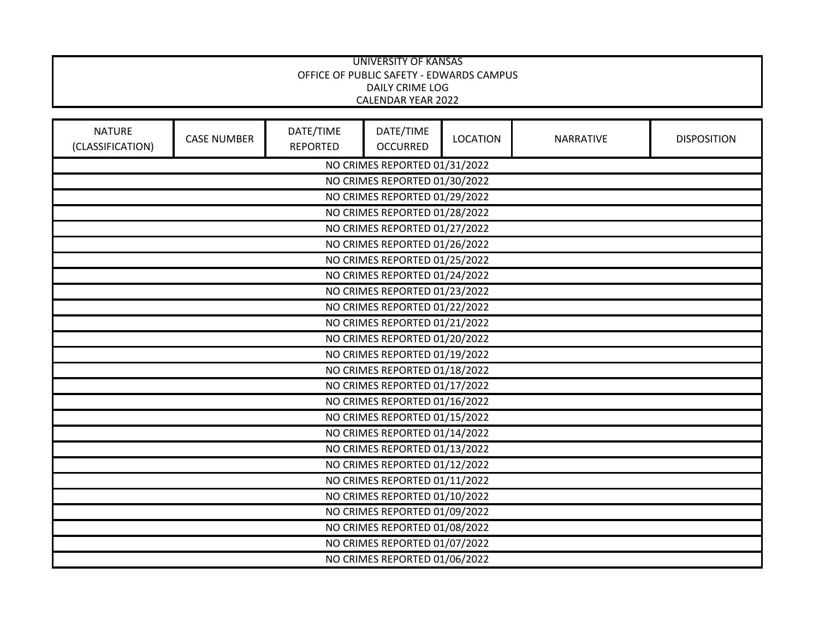|                                   |                               |                              | UNIVERSITY OF KANSAS<br>OFFICE OF PUBLIC SAFETY - EDWARDS CAMPUS<br><b>DAILY CRIME LOG</b><br><b>CALENDAR YEAR 2022</b> |                 |                  |                    |  |
|-----------------------------------|-------------------------------|------------------------------|-------------------------------------------------------------------------------------------------------------------------|-----------------|------------------|--------------------|--|
| <b>NATURE</b><br>(CLASSIFICATION) | <b>CASE NUMBER</b>            | DATE/TIME<br><b>REPORTED</b> | DATE/TIME<br><b>OCCURRED</b>                                                                                            | <b>LOCATION</b> | <b>NARRATIVE</b> | <b>DISPOSITION</b> |  |
|                                   |                               |                              | NO CRIMES REPORTED 01/31/2022                                                                                           |                 |                  |                    |  |
|                                   |                               |                              | NO CRIMES REPORTED 01/30/2022                                                                                           |                 |                  |                    |  |
|                                   |                               |                              | NO CRIMES REPORTED 01/29/2022                                                                                           |                 |                  |                    |  |
|                                   |                               |                              | NO CRIMES REPORTED 01/28/2022                                                                                           |                 |                  |                    |  |
|                                   |                               |                              | NO CRIMES REPORTED 01/27/2022                                                                                           |                 |                  |                    |  |
|                                   |                               |                              | NO CRIMES REPORTED 01/26/2022                                                                                           |                 |                  |                    |  |
|                                   |                               |                              | NO CRIMES REPORTED 01/25/2022                                                                                           |                 |                  |                    |  |
|                                   |                               |                              | NO CRIMES REPORTED 01/24/2022                                                                                           |                 |                  |                    |  |
|                                   |                               |                              | NO CRIMES REPORTED 01/23/2022                                                                                           |                 |                  |                    |  |
|                                   | NO CRIMES REPORTED 01/22/2022 |                              |                                                                                                                         |                 |                  |                    |  |
|                                   | NO CRIMES REPORTED 01/21/2022 |                              |                                                                                                                         |                 |                  |                    |  |
|                                   | NO CRIMES REPORTED 01/20/2022 |                              |                                                                                                                         |                 |                  |                    |  |
|                                   |                               |                              | NO CRIMES REPORTED 01/19/2022                                                                                           |                 |                  |                    |  |
|                                   |                               |                              | NO CRIMES REPORTED 01/18/2022                                                                                           |                 |                  |                    |  |
|                                   |                               |                              | NO CRIMES REPORTED 01/17/2022                                                                                           |                 |                  |                    |  |
|                                   |                               |                              | NO CRIMES REPORTED 01/16/2022                                                                                           |                 |                  |                    |  |
|                                   |                               |                              | NO CRIMES REPORTED 01/15/2022                                                                                           |                 |                  |                    |  |
|                                   | NO CRIMES REPORTED 01/14/2022 |                              |                                                                                                                         |                 |                  |                    |  |
|                                   | NO CRIMES REPORTED 01/13/2022 |                              |                                                                                                                         |                 |                  |                    |  |
|                                   | NO CRIMES REPORTED 01/12/2022 |                              |                                                                                                                         |                 |                  |                    |  |
|                                   | NO CRIMES REPORTED 01/11/2022 |                              |                                                                                                                         |                 |                  |                    |  |
|                                   |                               |                              | NO CRIMES REPORTED 01/10/2022                                                                                           |                 |                  |                    |  |
|                                   |                               |                              | NO CRIMES REPORTED 01/09/2022                                                                                           |                 |                  |                    |  |
|                                   |                               |                              | NO CRIMES REPORTED 01/08/2022                                                                                           |                 |                  |                    |  |
|                                   |                               |                              | NO CRIMES REPORTED 01/07/2022                                                                                           |                 |                  |                    |  |
|                                   | NO CRIMES REPORTED 01/06/2022 |                              |                                                                                                                         |                 |                  |                    |  |